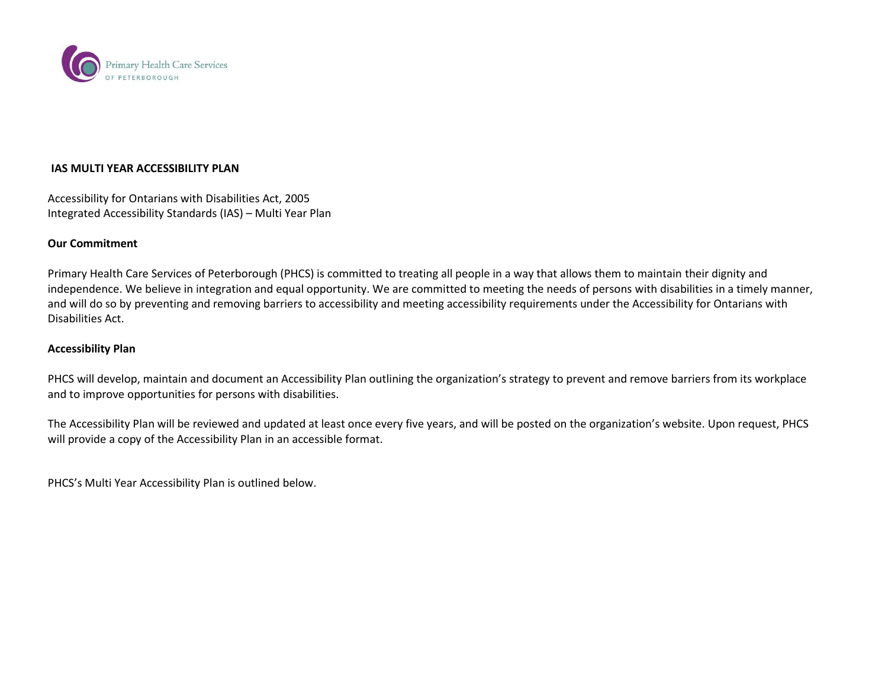

## **IAS MULTI YEAR ACCESSIBILITY PLAN**

Accessibility for Ontarians with Disabilities Act, 2005 Integrated Accessibility Standards (IAS) – Multi Year Plan

## **Our Commitment**

Primary Health Care Services of Peterborough (PHCS) is committed to treating all people in a way that allows them to maintain their dignity and independence. We believe in integration and equal opportunity. We are committed to meeting the needs of persons with disabilities in a timely manner, and will do so by preventing and removing barriers to accessibility and meeting accessibility requirements under the Accessibility for Ontarians with Disabilities Act.

## **Accessibility Plan**

PHCS will develop, maintain and document an Accessibility Plan outlining the organization's strategy to prevent and remove barriers from its workplace and to improve opportunities for persons with disabilities.

The Accessibility Plan will be reviewed and updated at least once every five years, and will be posted on the organization's website. Upon request, PHCS will provide a copy of the Accessibility Plan in an accessible format.

PHCS's Multi Year Accessibility Plan is outlined below.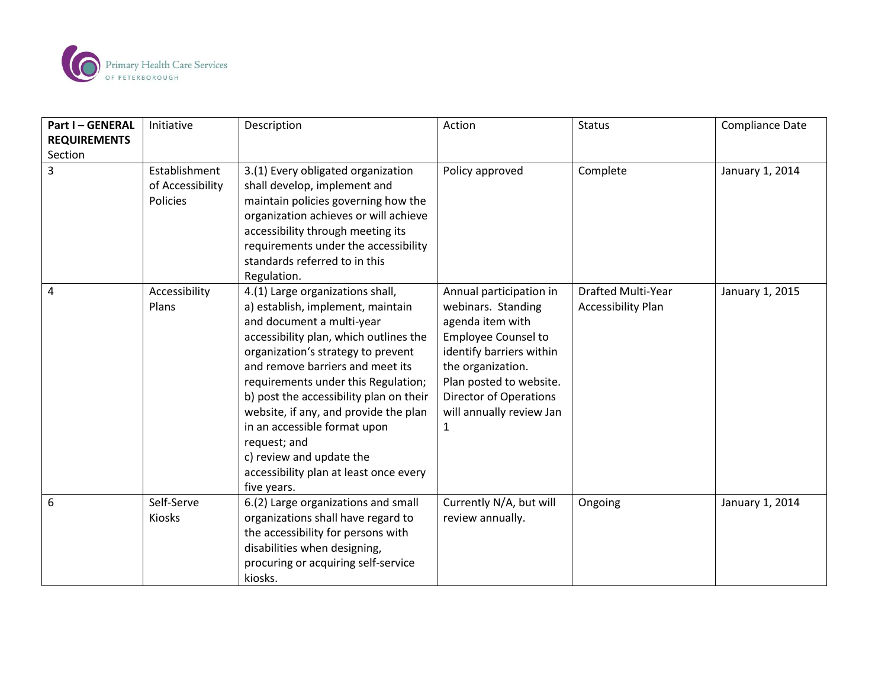

| <b>Part I-GENERAL</b> | Initiative       | Description                             | Action                        | <b>Status</b>             | <b>Compliance Date</b> |
|-----------------------|------------------|-----------------------------------------|-------------------------------|---------------------------|------------------------|
| <b>REQUIREMENTS</b>   |                  |                                         |                               |                           |                        |
| Section               |                  |                                         |                               |                           |                        |
| 3                     | Establishment    | 3.(1) Every obligated organization      | Policy approved               | Complete                  | January 1, 2014        |
|                       | of Accessibility | shall develop, implement and            |                               |                           |                        |
|                       | Policies         | maintain policies governing how the     |                               |                           |                        |
|                       |                  | organization achieves or will achieve   |                               |                           |                        |
|                       |                  | accessibility through meeting its       |                               |                           |                        |
|                       |                  | requirements under the accessibility    |                               |                           |                        |
|                       |                  | standards referred to in this           |                               |                           |                        |
|                       |                  | Regulation.                             |                               |                           |                        |
| 4                     | Accessibility    | 4.(1) Large organizations shall,        | Annual participation in       | <b>Drafted Multi-Year</b> | January 1, 2015        |
|                       | Plans            | a) establish, implement, maintain       | webinars. Standing            | <b>Accessibility Plan</b> |                        |
|                       |                  | and document a multi-year               | agenda item with              |                           |                        |
|                       |                  | accessibility plan, which outlines the  | <b>Employee Counsel to</b>    |                           |                        |
|                       |                  | organization's strategy to prevent      | identify barriers within      |                           |                        |
|                       |                  | and remove barriers and meet its        | the organization.             |                           |                        |
|                       |                  | requirements under this Regulation;     | Plan posted to website.       |                           |                        |
|                       |                  | b) post the accessibility plan on their | <b>Director of Operations</b> |                           |                        |
|                       |                  | website, if any, and provide the plan   | will annually review Jan      |                           |                        |
|                       |                  | in an accessible format upon            | 1                             |                           |                        |
|                       |                  | request; and                            |                               |                           |                        |
|                       |                  | c) review and update the                |                               |                           |                        |
|                       |                  | accessibility plan at least once every  |                               |                           |                        |
|                       |                  | five years.                             |                               |                           |                        |
| 6                     | Self-Serve       | 6.(2) Large organizations and small     | Currently N/A, but will       | Ongoing                   | January 1, 2014        |
|                       | Kiosks           | organizations shall have regard to      | review annually.              |                           |                        |
|                       |                  | the accessibility for persons with      |                               |                           |                        |
|                       |                  | disabilities when designing,            |                               |                           |                        |
|                       |                  | procuring or acquiring self-service     |                               |                           |                        |
|                       |                  | kiosks.                                 |                               |                           |                        |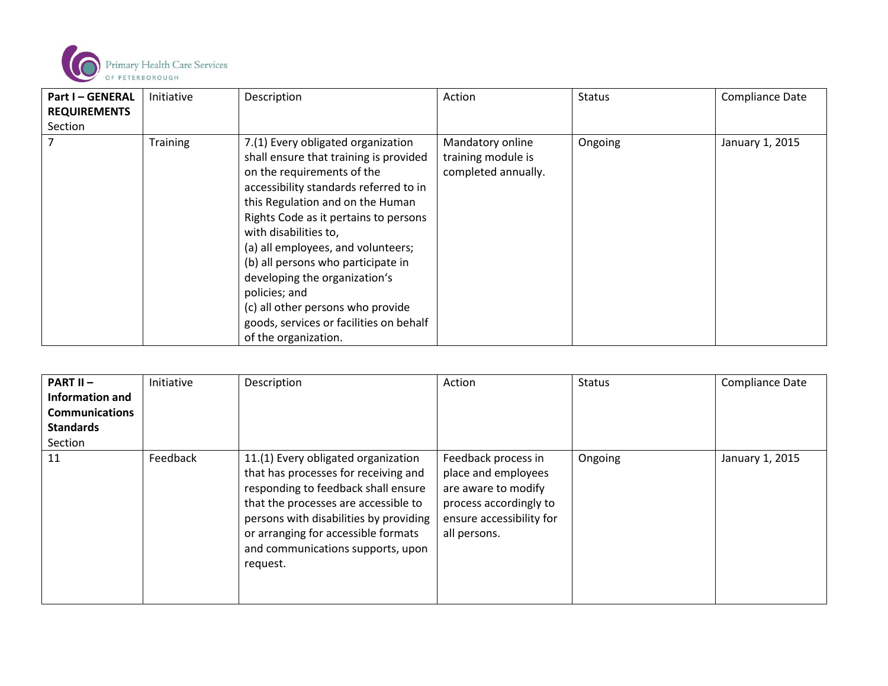

| <b>Part I-GENERAL</b><br><b>REQUIREMENTS</b> | Initiative      | Description                                                                                                                                                                                                                                                                                                                                                                                                                                                                                      | Action                                                        | <b>Status</b> | <b>Compliance Date</b> |
|----------------------------------------------|-----------------|--------------------------------------------------------------------------------------------------------------------------------------------------------------------------------------------------------------------------------------------------------------------------------------------------------------------------------------------------------------------------------------------------------------------------------------------------------------------------------------------------|---------------------------------------------------------------|---------------|------------------------|
| Section                                      |                 |                                                                                                                                                                                                                                                                                                                                                                                                                                                                                                  |                                                               |               |                        |
|                                              | <b>Training</b> | 7.(1) Every obligated organization<br>shall ensure that training is provided<br>on the requirements of the<br>accessibility standards referred to in<br>this Regulation and on the Human<br>Rights Code as it pertains to persons<br>with disabilities to,<br>(a) all employees, and volunteers;<br>(b) all persons who participate in<br>developing the organization's<br>policies; and<br>(c) all other persons who provide<br>goods, services or facilities on behalf<br>of the organization. | Mandatory online<br>training module is<br>completed annually. | Ongoing       | January 1, 2015        |

| <b>PART II <math>-</math></b><br>Information and<br><b>Communications</b><br><b>Standards</b><br>Section | Initiative | Description                                                                                                                                                                                                                                                                                  | Action                                                                                                                                  | <b>Status</b> | <b>Compliance Date</b> |
|----------------------------------------------------------------------------------------------------------|------------|----------------------------------------------------------------------------------------------------------------------------------------------------------------------------------------------------------------------------------------------------------------------------------------------|-----------------------------------------------------------------------------------------------------------------------------------------|---------------|------------------------|
| 11                                                                                                       | Feedback   | 11.(1) Every obligated organization<br>that has processes for receiving and<br>responding to feedback shall ensure<br>that the processes are accessible to<br>persons with disabilities by providing<br>or arranging for accessible formats<br>and communications supports, upon<br>request. | Feedback process in<br>place and employees<br>are aware to modify<br>process accordingly to<br>ensure accessibility for<br>all persons. | Ongoing       | January 1, 2015        |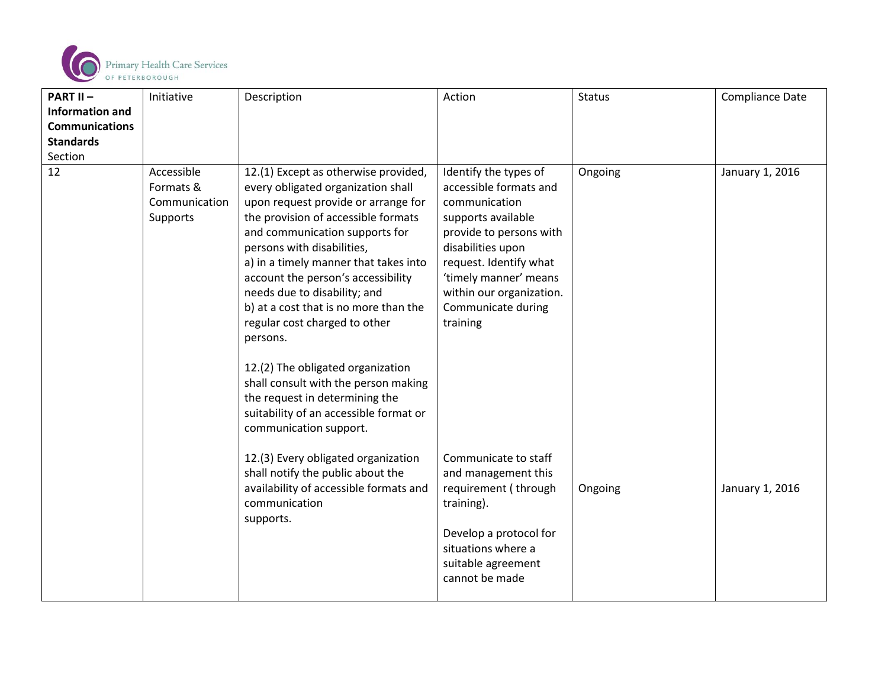

| <b>PART II-</b>        | Initiative                                           | Description                                                                                                                                                                                                                                                                                                                                                                                                                                                                                                | Action                                                                                                                                                                                                                                                  | <b>Status</b> | Compliance Date |
|------------------------|------------------------------------------------------|------------------------------------------------------------------------------------------------------------------------------------------------------------------------------------------------------------------------------------------------------------------------------------------------------------------------------------------------------------------------------------------------------------------------------------------------------------------------------------------------------------|---------------------------------------------------------------------------------------------------------------------------------------------------------------------------------------------------------------------------------------------------------|---------------|-----------------|
| <b>Information and</b> |                                                      |                                                                                                                                                                                                                                                                                                                                                                                                                                                                                                            |                                                                                                                                                                                                                                                         |               |                 |
| <b>Communications</b>  |                                                      |                                                                                                                                                                                                                                                                                                                                                                                                                                                                                                            |                                                                                                                                                                                                                                                         |               |                 |
| <b>Standards</b>       |                                                      |                                                                                                                                                                                                                                                                                                                                                                                                                                                                                                            |                                                                                                                                                                                                                                                         |               |                 |
| Section                |                                                      |                                                                                                                                                                                                                                                                                                                                                                                                                                                                                                            |                                                                                                                                                                                                                                                         |               |                 |
| 12                     | Accessible<br>Formats &<br>Communication<br>Supports | 12.(1) Except as otherwise provided,<br>every obligated organization shall<br>upon request provide or arrange for<br>the provision of accessible formats<br>and communication supports for<br>persons with disabilities,<br>a) in a timely manner that takes into<br>account the person's accessibility<br>needs due to disability; and<br>b) at a cost that is no more than the<br>regular cost charged to other<br>persons.<br>12.(2) The obligated organization<br>shall consult with the person making | Identify the types of<br>accessible formats and<br>communication<br>supports available<br>provide to persons with<br>disabilities upon<br>request. Identify what<br>'timely manner' means<br>within our organization.<br>Communicate during<br>training | Ongoing       | January 1, 2016 |
|                        |                                                      | the request in determining the<br>suitability of an accessible format or<br>communication support.<br>12.(3) Every obligated organization<br>shall notify the public about the<br>availability of accessible formats and<br>communication<br>supports.                                                                                                                                                                                                                                                     | Communicate to staff<br>and management this<br>requirement (through<br>training).<br>Develop a protocol for<br>situations where a<br>suitable agreement<br>cannot be made                                                                               | Ongoing       | January 1, 2016 |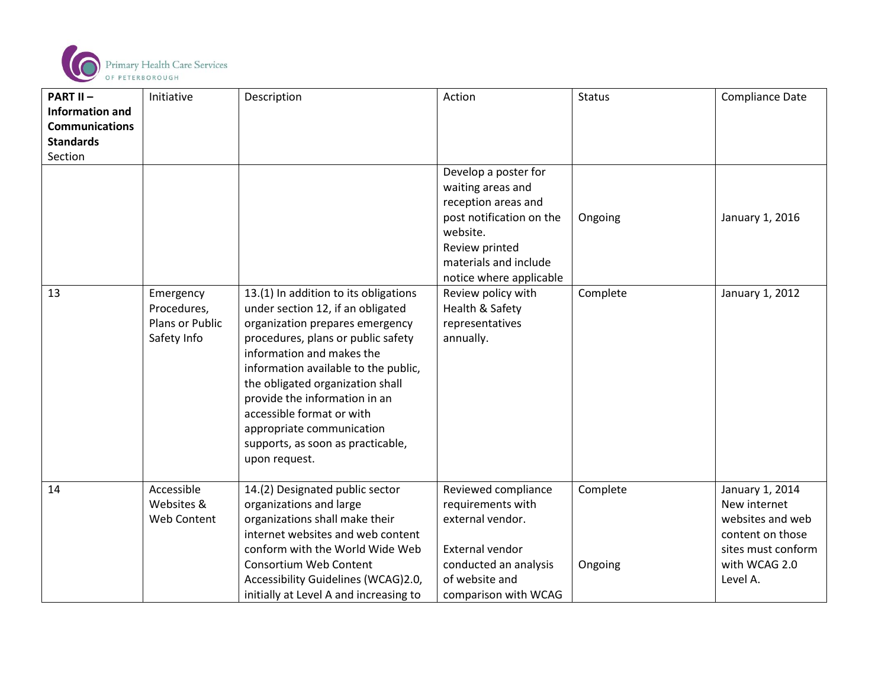

| <b>PART II-</b>             | Initiative                     | Description                                                           | Action                                   | <b>Status</b> | <b>Compliance Date</b>          |
|-----------------------------|--------------------------------|-----------------------------------------------------------------------|------------------------------------------|---------------|---------------------------------|
| <b>Information and</b>      |                                |                                                                       |                                          |               |                                 |
| <b>Communications</b>       |                                |                                                                       |                                          |               |                                 |
| <b>Standards</b><br>Section |                                |                                                                       |                                          |               |                                 |
|                             |                                |                                                                       | Develop a poster for                     |               |                                 |
|                             |                                |                                                                       | waiting areas and                        |               |                                 |
|                             |                                |                                                                       | reception areas and                      |               |                                 |
|                             |                                |                                                                       | post notification on the                 | Ongoing       | January 1, 2016                 |
|                             |                                |                                                                       | website.                                 |               |                                 |
|                             |                                |                                                                       | Review printed                           |               |                                 |
|                             |                                |                                                                       | materials and include                    |               |                                 |
|                             |                                |                                                                       | notice where applicable                  |               |                                 |
| 13                          | Emergency                      | 13.(1) In addition to its obligations                                 | Review policy with                       | Complete      | January 1, 2012                 |
|                             | Procedures,                    | under section 12, if an obligated                                     | Health & Safety                          |               |                                 |
|                             | Plans or Public<br>Safety Info | organization prepares emergency<br>procedures, plans or public safety | representatives<br>annually.             |               |                                 |
|                             |                                | information and makes the                                             |                                          |               |                                 |
|                             |                                | information available to the public,                                  |                                          |               |                                 |
|                             |                                | the obligated organization shall                                      |                                          |               |                                 |
|                             |                                | provide the information in an                                         |                                          |               |                                 |
|                             |                                | accessible format or with                                             |                                          |               |                                 |
|                             |                                | appropriate communication                                             |                                          |               |                                 |
|                             |                                | supports, as soon as practicable,                                     |                                          |               |                                 |
|                             |                                | upon request.                                                         |                                          |               |                                 |
|                             | Accessible                     |                                                                       |                                          |               |                                 |
| 14                          | Websites &                     | 14.(2) Designated public sector<br>organizations and large            | Reviewed compliance<br>requirements with | Complete      | January 1, 2014<br>New internet |
|                             | Web Content                    | organizations shall make their                                        | external vendor.                         |               | websites and web                |
|                             |                                | internet websites and web content                                     |                                          |               | content on those                |
|                             |                                | conform with the World Wide Web                                       | External vendor                          |               | sites must conform              |
|                             |                                | <b>Consortium Web Content</b>                                         | conducted an analysis                    | Ongoing       | with WCAG 2.0                   |
|                             |                                | Accessibility Guidelines (WCAG)2.0,                                   | of website and                           |               | Level A.                        |
|                             |                                | initially at Level A and increasing to                                | comparison with WCAG                     |               |                                 |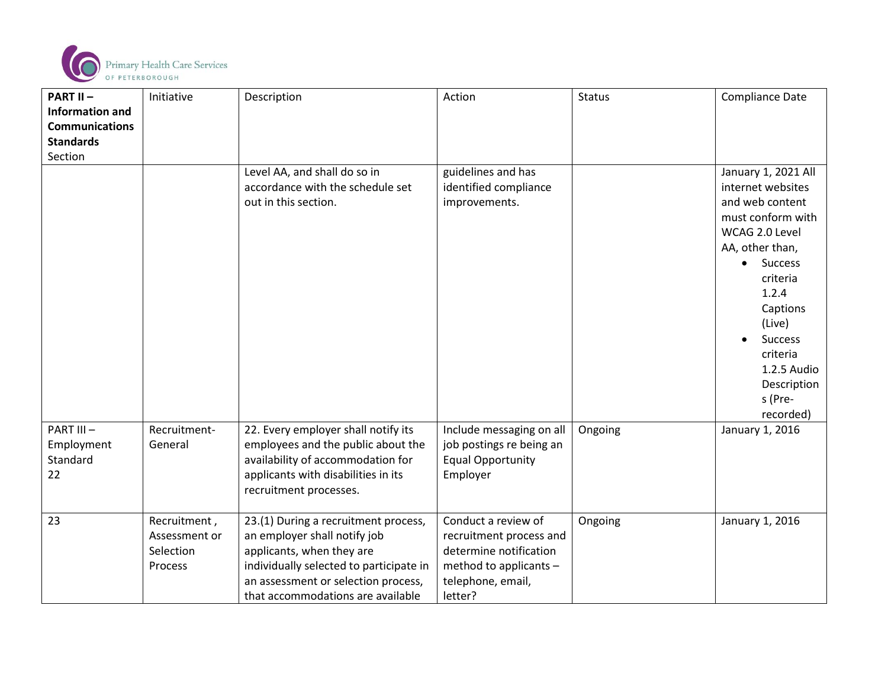

| <b>PART II-</b>                           | Initiative                                            | Description                                                                                                                                                                                                              | Action                                                                                                                             | <b>Status</b> | <b>Compliance Date</b>                                                                                                                                                                                                                                      |
|-------------------------------------------|-------------------------------------------------------|--------------------------------------------------------------------------------------------------------------------------------------------------------------------------------------------------------------------------|------------------------------------------------------------------------------------------------------------------------------------|---------------|-------------------------------------------------------------------------------------------------------------------------------------------------------------------------------------------------------------------------------------------------------------|
| <b>Information and</b>                    |                                                       |                                                                                                                                                                                                                          |                                                                                                                                    |               |                                                                                                                                                                                                                                                             |
| <b>Communications</b>                     |                                                       |                                                                                                                                                                                                                          |                                                                                                                                    |               |                                                                                                                                                                                                                                                             |
| <b>Standards</b>                          |                                                       |                                                                                                                                                                                                                          |                                                                                                                                    |               |                                                                                                                                                                                                                                                             |
| Section                                   |                                                       |                                                                                                                                                                                                                          |                                                                                                                                    |               |                                                                                                                                                                                                                                                             |
|                                           |                                                       | Level AA, and shall do so in<br>accordance with the schedule set<br>out in this section.                                                                                                                                 | guidelines and has<br>identified compliance<br>improvements.                                                                       |               | January 1, 2021 All<br>internet websites<br>and web content<br>must conform with<br>WCAG 2.0 Level<br>AA, other than,<br><b>Success</b><br>$\bullet$<br>criteria<br>1.2.4<br>Captions<br>(Live)<br><b>Success</b><br>criteria<br>1.2.5 Audio<br>Description |
|                                           |                                                       |                                                                                                                                                                                                                          |                                                                                                                                    |               | s (Pre-<br>recorded)                                                                                                                                                                                                                                        |
| PART III-<br>Employment<br>Standard<br>22 | Recruitment-<br>General                               | 22. Every employer shall notify its<br>employees and the public about the<br>availability of accommodation for<br>applicants with disabilities in its<br>recruitment processes.                                          | Include messaging on all<br>job postings re being an<br><b>Equal Opportunity</b><br>Employer                                       | Ongoing       | January 1, 2016                                                                                                                                                                                                                                             |
| 23                                        | Recruitment,<br>Assessment or<br>Selection<br>Process | 23.(1) During a recruitment process,<br>an employer shall notify job<br>applicants, when they are<br>individually selected to participate in<br>an assessment or selection process,<br>that accommodations are available | Conduct a review of<br>recruitment process and<br>determine notification<br>method to applicants -<br>telephone, email,<br>letter? | Ongoing       | January 1, 2016                                                                                                                                                                                                                                             |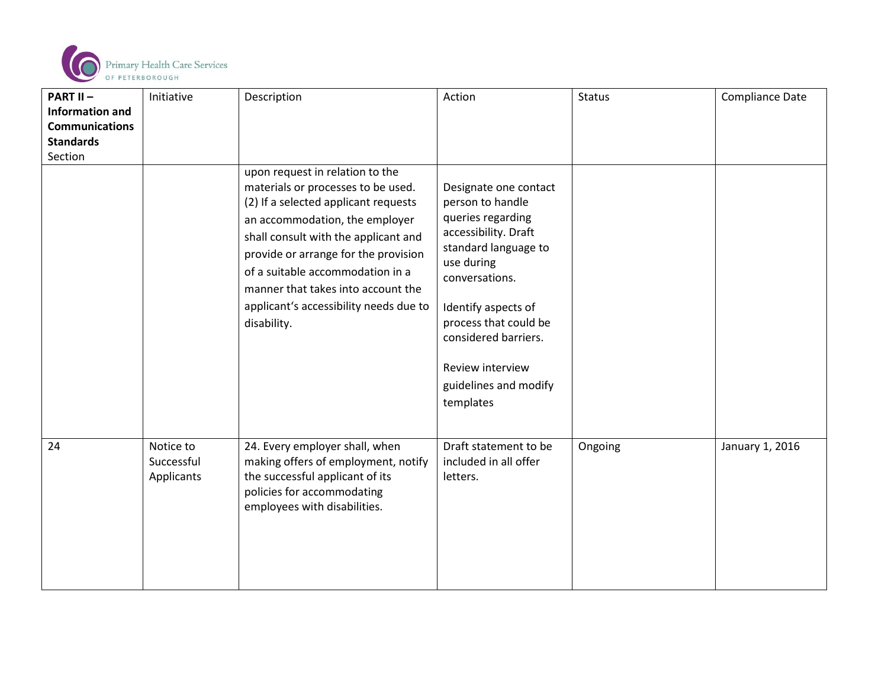

| <b>PART II-</b>        | Initiative                            | Description                                                                                                                                                                                                                                                                                                                                                        | Action                                                                                                                                                                                                                                                                           | <b>Status</b> | <b>Compliance Date</b> |
|------------------------|---------------------------------------|--------------------------------------------------------------------------------------------------------------------------------------------------------------------------------------------------------------------------------------------------------------------------------------------------------------------------------------------------------------------|----------------------------------------------------------------------------------------------------------------------------------------------------------------------------------------------------------------------------------------------------------------------------------|---------------|------------------------|
| <b>Information and</b> |                                       |                                                                                                                                                                                                                                                                                                                                                                    |                                                                                                                                                                                                                                                                                  |               |                        |
| <b>Communications</b>  |                                       |                                                                                                                                                                                                                                                                                                                                                                    |                                                                                                                                                                                                                                                                                  |               |                        |
| <b>Standards</b>       |                                       |                                                                                                                                                                                                                                                                                                                                                                    |                                                                                                                                                                                                                                                                                  |               |                        |
| Section                |                                       |                                                                                                                                                                                                                                                                                                                                                                    |                                                                                                                                                                                                                                                                                  |               |                        |
|                        |                                       | upon request in relation to the<br>materials or processes to be used.<br>(2) If a selected applicant requests<br>an accommodation, the employer<br>shall consult with the applicant and<br>provide or arrange for the provision<br>of a suitable accommodation in a<br>manner that takes into account the<br>applicant's accessibility needs due to<br>disability. | Designate one contact<br>person to handle<br>queries regarding<br>accessibility. Draft<br>standard language to<br>use during<br>conversations.<br>Identify aspects of<br>process that could be<br>considered barriers.<br>Review interview<br>guidelines and modify<br>templates |               |                        |
| 24                     | Notice to<br>Successful<br>Applicants | 24. Every employer shall, when<br>making offers of employment, notify<br>the successful applicant of its<br>policies for accommodating<br>employees with disabilities.                                                                                                                                                                                             | Draft statement to be<br>included in all offer<br>letters.                                                                                                                                                                                                                       | Ongoing       | January 1, 2016        |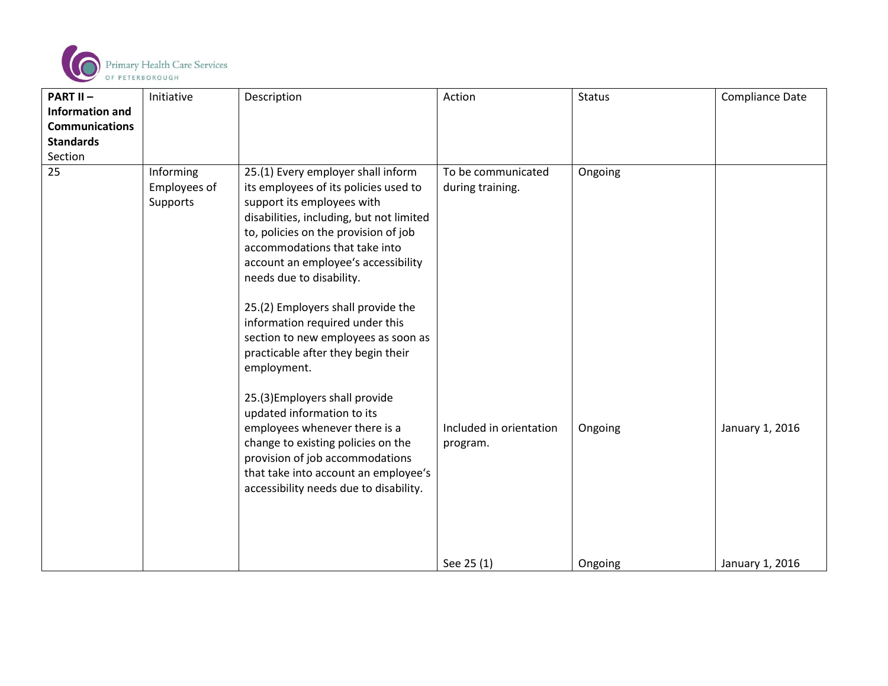

| <b>PART II-</b>        | Initiative                            | Description                                                                                                                                                                                                                                                                                                                                                                                                                                                            | Action                                 | <b>Status</b> | <b>Compliance Date</b> |
|------------------------|---------------------------------------|------------------------------------------------------------------------------------------------------------------------------------------------------------------------------------------------------------------------------------------------------------------------------------------------------------------------------------------------------------------------------------------------------------------------------------------------------------------------|----------------------------------------|---------------|------------------------|
| <b>Information and</b> |                                       |                                                                                                                                                                                                                                                                                                                                                                                                                                                                        |                                        |               |                        |
| <b>Communications</b>  |                                       |                                                                                                                                                                                                                                                                                                                                                                                                                                                                        |                                        |               |                        |
| <b>Standards</b>       |                                       |                                                                                                                                                                                                                                                                                                                                                                                                                                                                        |                                        |               |                        |
| Section                |                                       |                                                                                                                                                                                                                                                                                                                                                                                                                                                                        |                                        |               |                        |
| 25                     | Informing<br>Employees of<br>Supports | 25.(1) Every employer shall inform<br>its employees of its policies used to<br>support its employees with<br>disabilities, including, but not limited<br>to, policies on the provision of job<br>accommodations that take into<br>account an employee's accessibility<br>needs due to disability.<br>25.(2) Employers shall provide the<br>information required under this<br>section to new employees as soon as<br>practicable after they begin their<br>employment. | To be communicated<br>during training. | Ongoing       |                        |
|                        |                                       | 25.(3) Employers shall provide<br>updated information to its<br>employees whenever there is a<br>change to existing policies on the<br>provision of job accommodations<br>that take into account an employee's<br>accessibility needs due to disability.                                                                                                                                                                                                               | Included in orientation<br>program.    | Ongoing       | January 1, 2016        |
|                        |                                       |                                                                                                                                                                                                                                                                                                                                                                                                                                                                        | See 25 (1)                             | Ongoing       | January 1, 2016        |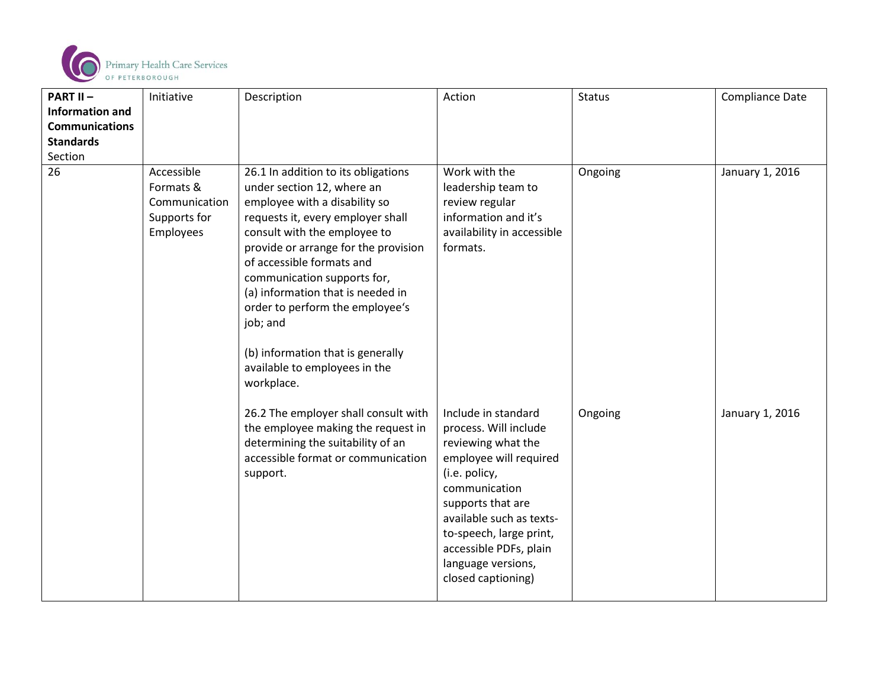

| <b>PART II-</b>        | Initiative                                                            | Description                                                                                                                                                                                                                                                                                                                                                                                                                                         | Action                                                                                                                                                                                                                                                                           | <b>Status</b> | <b>Compliance Date</b> |
|------------------------|-----------------------------------------------------------------------|-----------------------------------------------------------------------------------------------------------------------------------------------------------------------------------------------------------------------------------------------------------------------------------------------------------------------------------------------------------------------------------------------------------------------------------------------------|----------------------------------------------------------------------------------------------------------------------------------------------------------------------------------------------------------------------------------------------------------------------------------|---------------|------------------------|
| <b>Information and</b> |                                                                       |                                                                                                                                                                                                                                                                                                                                                                                                                                                     |                                                                                                                                                                                                                                                                                  |               |                        |
| <b>Communications</b>  |                                                                       |                                                                                                                                                                                                                                                                                                                                                                                                                                                     |                                                                                                                                                                                                                                                                                  |               |                        |
| <b>Standards</b>       |                                                                       |                                                                                                                                                                                                                                                                                                                                                                                                                                                     |                                                                                                                                                                                                                                                                                  |               |                        |
| Section                |                                                                       |                                                                                                                                                                                                                                                                                                                                                                                                                                                     |                                                                                                                                                                                                                                                                                  |               |                        |
| 26                     | Accessible<br>Formats &<br>Communication<br>Supports for<br>Employees | 26.1 In addition to its obligations<br>under section 12, where an<br>employee with a disability so<br>requests it, every employer shall<br>consult with the employee to<br>provide or arrange for the provision<br>of accessible formats and<br>communication supports for,<br>(a) information that is needed in<br>order to perform the employee's<br>job; and<br>(b) information that is generally<br>available to employees in the<br>workplace. | Work with the<br>leadership team to<br>review regular<br>information and it's<br>availability in accessible<br>formats.                                                                                                                                                          | Ongoing       | January 1, 2016        |
|                        |                                                                       | 26.2 The employer shall consult with<br>the employee making the request in<br>determining the suitability of an<br>accessible format or communication<br>support.                                                                                                                                                                                                                                                                                   | Include in standard<br>process. Will include<br>reviewing what the<br>employee will required<br>(i.e. policy,<br>communication<br>supports that are<br>available such as texts-<br>to-speech, large print,<br>accessible PDFs, plain<br>language versions,<br>closed captioning) | Ongoing       | January 1, 2016        |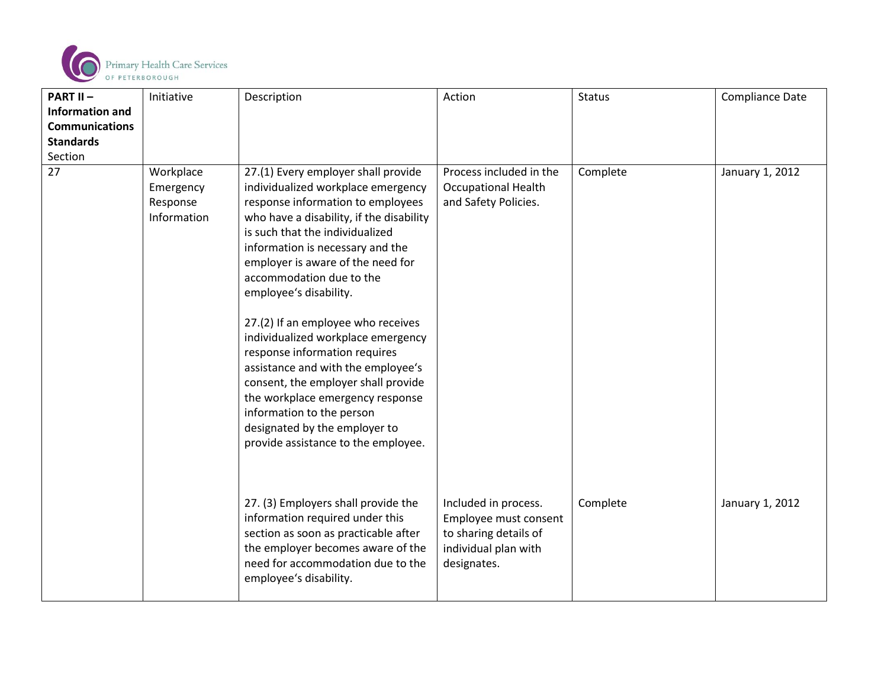

| <b>PART II-</b>        | Initiative                                        | Description                                                                                                                                                                                                                                                                                                                                                                                                                                                                                                                                                                                                                                                     | Action                                                                                                        | <b>Status</b> | <b>Compliance Date</b> |
|------------------------|---------------------------------------------------|-----------------------------------------------------------------------------------------------------------------------------------------------------------------------------------------------------------------------------------------------------------------------------------------------------------------------------------------------------------------------------------------------------------------------------------------------------------------------------------------------------------------------------------------------------------------------------------------------------------------------------------------------------------------|---------------------------------------------------------------------------------------------------------------|---------------|------------------------|
| <b>Information and</b> |                                                   |                                                                                                                                                                                                                                                                                                                                                                                                                                                                                                                                                                                                                                                                 |                                                                                                               |               |                        |
| <b>Communications</b>  |                                                   |                                                                                                                                                                                                                                                                                                                                                                                                                                                                                                                                                                                                                                                                 |                                                                                                               |               |                        |
| <b>Standards</b>       |                                                   |                                                                                                                                                                                                                                                                                                                                                                                                                                                                                                                                                                                                                                                                 |                                                                                                               |               |                        |
| Section                |                                                   |                                                                                                                                                                                                                                                                                                                                                                                                                                                                                                                                                                                                                                                                 |                                                                                                               |               |                        |
| 27                     | Workplace<br>Emergency<br>Response<br>Information | 27.(1) Every employer shall provide<br>individualized workplace emergency<br>response information to employees<br>who have a disability, if the disability<br>is such that the individualized<br>information is necessary and the<br>employer is aware of the need for<br>accommodation due to the<br>employee's disability.<br>27.(2) If an employee who receives<br>individualized workplace emergency<br>response information requires<br>assistance and with the employee's<br>consent, the employer shall provide<br>the workplace emergency response<br>information to the person<br>designated by the employer to<br>provide assistance to the employee. | Process included in the<br><b>Occupational Health</b><br>and Safety Policies.                                 | Complete      | January 1, 2012        |
|                        |                                                   | 27. (3) Employers shall provide the<br>information required under this<br>section as soon as practicable after<br>the employer becomes aware of the<br>need for accommodation due to the<br>employee's disability.                                                                                                                                                                                                                                                                                                                                                                                                                                              | Included in process.<br>Employee must consent<br>to sharing details of<br>individual plan with<br>designates. | Complete      | January 1, 2012        |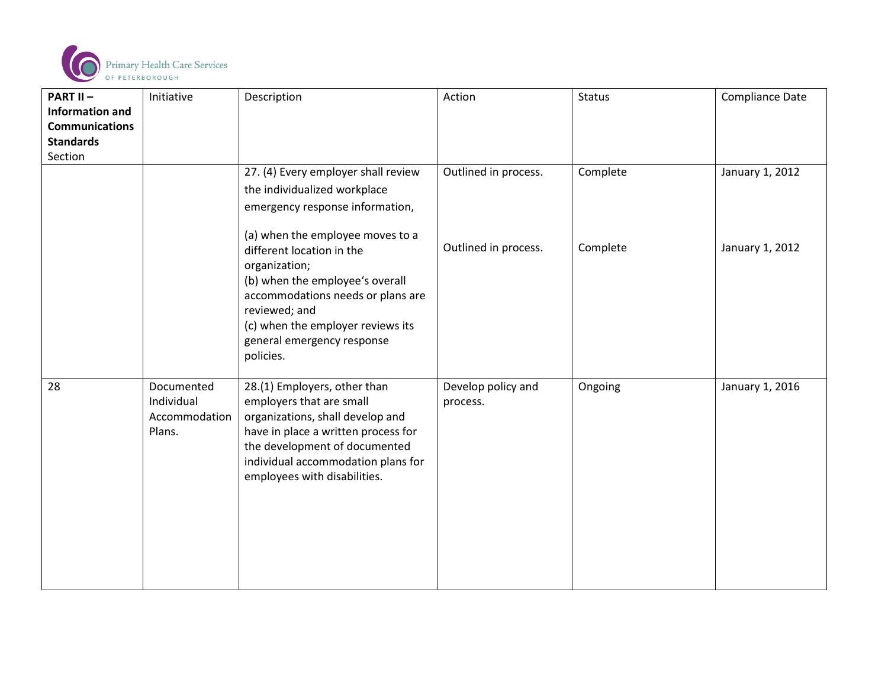

| <b>PART II-</b>        | Initiative    | Description                                      | Action               | <b>Status</b> | <b>Compliance Date</b> |
|------------------------|---------------|--------------------------------------------------|----------------------|---------------|------------------------|
| <b>Information and</b> |               |                                                  |                      |               |                        |
| <b>Communications</b>  |               |                                                  |                      |               |                        |
| <b>Standards</b>       |               |                                                  |                      |               |                        |
| Section                |               |                                                  |                      |               |                        |
|                        |               | 27. (4) Every employer shall review              | Outlined in process. | Complete      | January 1, 2012        |
|                        |               | the individualized workplace                     |                      |               |                        |
|                        |               | emergency response information,                  |                      |               |                        |
|                        |               |                                                  |                      |               |                        |
|                        |               | (a) when the employee moves to a                 | Outlined in process. | Complete      | January 1, 2012        |
|                        |               | different location in the                        |                      |               |                        |
|                        |               | organization;<br>(b) when the employee's overall |                      |               |                        |
|                        |               | accommodations needs or plans are                |                      |               |                        |
|                        |               | reviewed; and                                    |                      |               |                        |
|                        |               | (c) when the employer reviews its                |                      |               |                        |
|                        |               | general emergency response                       |                      |               |                        |
|                        |               | policies.                                        |                      |               |                        |
|                        |               |                                                  |                      |               |                        |
| 28                     | Documented    | 28.(1) Employers, other than                     | Develop policy and   | Ongoing       | January 1, 2016        |
|                        | Individual    | employers that are small                         | process.             |               |                        |
|                        | Accommodation | organizations, shall develop and                 |                      |               |                        |
|                        | Plans.        | have in place a written process for              |                      |               |                        |
|                        |               | the development of documented                    |                      |               |                        |
|                        |               | individual accommodation plans for               |                      |               |                        |
|                        |               | employees with disabilities.                     |                      |               |                        |
|                        |               |                                                  |                      |               |                        |
|                        |               |                                                  |                      |               |                        |
|                        |               |                                                  |                      |               |                        |
|                        |               |                                                  |                      |               |                        |
|                        |               |                                                  |                      |               |                        |
|                        |               |                                                  |                      |               |                        |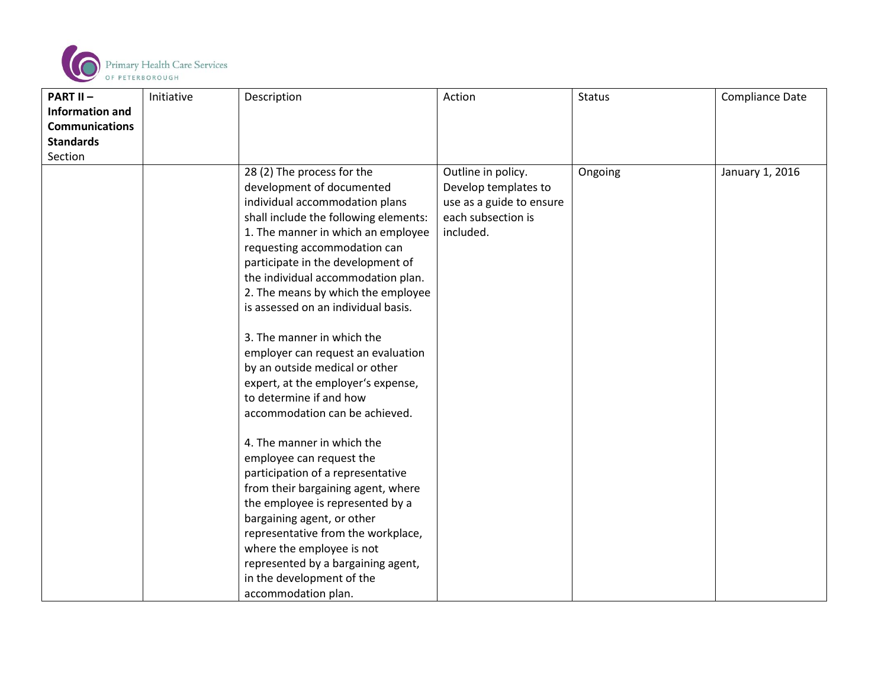

| <b>PART II-</b>        | Initiative | Description                           | Action                   | <b>Status</b> | <b>Compliance Date</b> |
|------------------------|------------|---------------------------------------|--------------------------|---------------|------------------------|
| <b>Information and</b> |            |                                       |                          |               |                        |
| <b>Communications</b>  |            |                                       |                          |               |                        |
| <b>Standards</b>       |            |                                       |                          |               |                        |
| Section                |            |                                       |                          |               |                        |
|                        |            | 28 (2) The process for the            | Outline in policy.       | Ongoing       | January 1, 2016        |
|                        |            | development of documented             | Develop templates to     |               |                        |
|                        |            | individual accommodation plans        | use as a guide to ensure |               |                        |
|                        |            | shall include the following elements: | each subsection is       |               |                        |
|                        |            | 1. The manner in which an employee    | included.                |               |                        |
|                        |            | requesting accommodation can          |                          |               |                        |
|                        |            | participate in the development of     |                          |               |                        |
|                        |            | the individual accommodation plan.    |                          |               |                        |
|                        |            | 2. The means by which the employee    |                          |               |                        |
|                        |            | is assessed on an individual basis.   |                          |               |                        |
|                        |            |                                       |                          |               |                        |
|                        |            | 3. The manner in which the            |                          |               |                        |
|                        |            | employer can request an evaluation    |                          |               |                        |
|                        |            | by an outside medical or other        |                          |               |                        |
|                        |            | expert, at the employer's expense,    |                          |               |                        |
|                        |            | to determine if and how               |                          |               |                        |
|                        |            | accommodation can be achieved.        |                          |               |                        |
|                        |            | 4. The manner in which the            |                          |               |                        |
|                        |            | employee can request the              |                          |               |                        |
|                        |            | participation of a representative     |                          |               |                        |
|                        |            | from their bargaining agent, where    |                          |               |                        |
|                        |            | the employee is represented by a      |                          |               |                        |
|                        |            | bargaining agent, or other            |                          |               |                        |
|                        |            | representative from the workplace,    |                          |               |                        |
|                        |            | where the employee is not             |                          |               |                        |
|                        |            | represented by a bargaining agent,    |                          |               |                        |
|                        |            | in the development of the             |                          |               |                        |
|                        |            | accommodation plan.                   |                          |               |                        |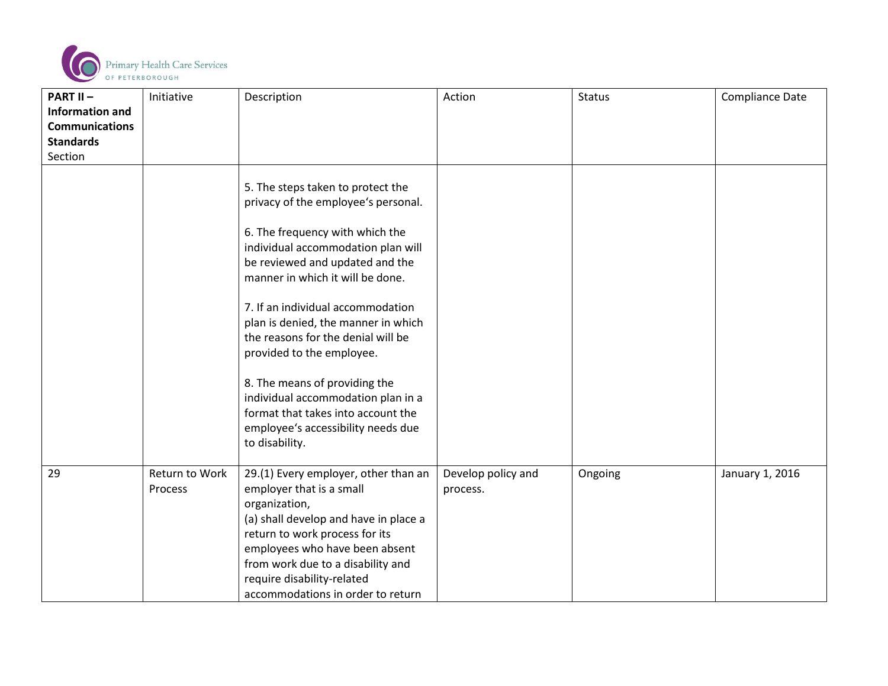

| <b>PART II-</b>        | Initiative                | Description                                                                                                                                                                                                                                                                                                                                                                                                                                                                                                                                  | Action                         | Status  | <b>Compliance Date</b> |
|------------------------|---------------------------|----------------------------------------------------------------------------------------------------------------------------------------------------------------------------------------------------------------------------------------------------------------------------------------------------------------------------------------------------------------------------------------------------------------------------------------------------------------------------------------------------------------------------------------------|--------------------------------|---------|------------------------|
| <b>Information and</b> |                           |                                                                                                                                                                                                                                                                                                                                                                                                                                                                                                                                              |                                |         |                        |
| <b>Communications</b>  |                           |                                                                                                                                                                                                                                                                                                                                                                                                                                                                                                                                              |                                |         |                        |
| <b>Standards</b>       |                           |                                                                                                                                                                                                                                                                                                                                                                                                                                                                                                                                              |                                |         |                        |
| Section                |                           |                                                                                                                                                                                                                                                                                                                                                                                                                                                                                                                                              |                                |         |                        |
|                        |                           | 5. The steps taken to protect the<br>privacy of the employee's personal.<br>6. The frequency with which the<br>individual accommodation plan will<br>be reviewed and updated and the<br>manner in which it will be done.<br>7. If an individual accommodation<br>plan is denied, the manner in which<br>the reasons for the denial will be<br>provided to the employee.<br>8. The means of providing the<br>individual accommodation plan in a<br>format that takes into account the<br>employee's accessibility needs due<br>to disability. |                                |         |                        |
| 29                     | Return to Work<br>Process | 29.(1) Every employer, other than an<br>employer that is a small<br>organization,<br>(a) shall develop and have in place a<br>return to work process for its<br>employees who have been absent<br>from work due to a disability and<br>require disability-related<br>accommodations in order to return                                                                                                                                                                                                                                       | Develop policy and<br>process. | Ongoing | January 1, 2016        |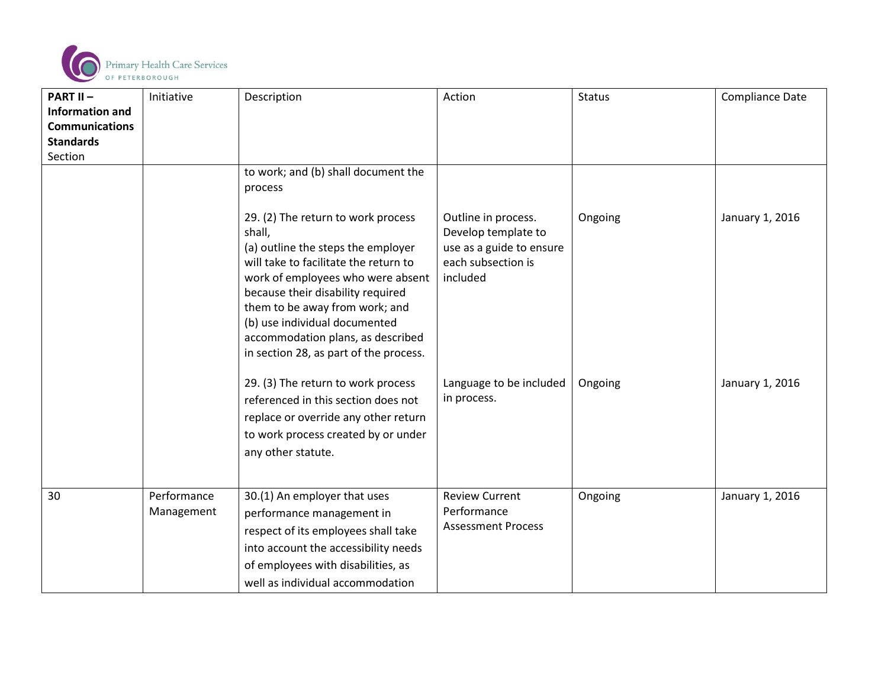

| <b>PART II-</b>        | Initiative                | Description                                                                                                                                                                                                                                                                                                                                             | Action                                                                                                   | Status  | Compliance Date |
|------------------------|---------------------------|---------------------------------------------------------------------------------------------------------------------------------------------------------------------------------------------------------------------------------------------------------------------------------------------------------------------------------------------------------|----------------------------------------------------------------------------------------------------------|---------|-----------------|
| <b>Information and</b> |                           |                                                                                                                                                                                                                                                                                                                                                         |                                                                                                          |         |                 |
| <b>Communications</b>  |                           |                                                                                                                                                                                                                                                                                                                                                         |                                                                                                          |         |                 |
| <b>Standards</b>       |                           |                                                                                                                                                                                                                                                                                                                                                         |                                                                                                          |         |                 |
| Section                |                           |                                                                                                                                                                                                                                                                                                                                                         |                                                                                                          |         |                 |
|                        |                           | to work; and (b) shall document the<br>process                                                                                                                                                                                                                                                                                                          |                                                                                                          |         |                 |
|                        |                           | 29. (2) The return to work process<br>shall,<br>(a) outline the steps the employer<br>will take to facilitate the return to<br>work of employees who were absent<br>because their disability required<br>them to be away from work; and<br>(b) use individual documented<br>accommodation plans, as described<br>in section 28, as part of the process. | Outline in process.<br>Develop template to<br>use as a guide to ensure<br>each subsection is<br>included | Ongoing | January 1, 2016 |
|                        |                           | 29. (3) The return to work process<br>referenced in this section does not<br>replace or override any other return<br>to work process created by or under<br>any other statute.                                                                                                                                                                          | Language to be included<br>in process.                                                                   | Ongoing | January 1, 2016 |
| 30                     | Performance<br>Management | 30.(1) An employer that uses<br>performance management in<br>respect of its employees shall take<br>into account the accessibility needs<br>of employees with disabilities, as<br>well as individual accommodation                                                                                                                                      | <b>Review Current</b><br>Performance<br><b>Assessment Process</b>                                        | Ongoing | January 1, 2016 |